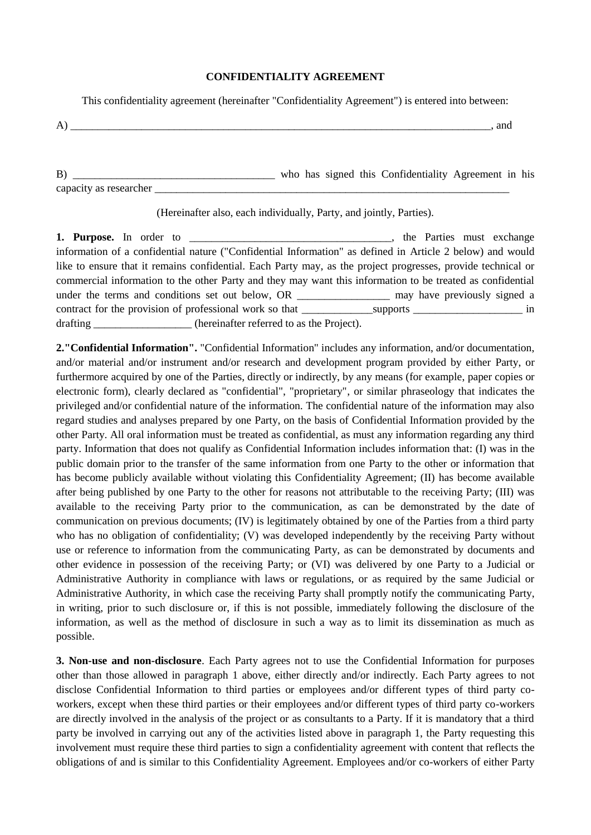## **CONFIDENTIALITY AGREEMENT**

This confidentiality agreement (hereinafter "Confidentiality Agreement") is entered into between:

| -<br>. . | anc |
|----------|-----|
|          |     |

B) \_\_\_\_\_\_\_\_\_\_\_\_\_\_\_\_\_\_\_\_\_\_\_\_\_\_\_\_\_\_\_\_\_\_\_\_\_ who has signed this Confidentiality Agreement in his capacity as researcher \_\_\_\_\_\_\_\_\_\_\_\_\_\_\_\_\_\_\_\_\_\_\_\_\_\_\_\_\_\_\_\_\_\_\_\_\_\_\_\_\_\_\_\_\_\_\_\_\_\_\_\_\_\_\_\_\_\_\_\_\_\_\_\_\_

(Hereinafter also, each individually, Party, and jointly, Parties).

**1. Purpose.** In order to **1. Purpose.** In order to **1. 1. Parties must exchange** information of a confidential nature ("Confidential Information" as defined in Article 2 below) and would like to ensure that it remains confidential. Each Party may, as the project progresses, provide technical or commercial information to the other Party and they may want this information to be treated as confidential under the terms and conditions set out below, OR \_\_\_\_\_\_\_\_\_\_\_\_\_\_\_\_\_\_\_\_\_\_ may have previously signed a contract for the provision of professional work so that supports  $\frac{1}{2}$  in drafting \_\_\_\_\_\_\_\_\_\_\_\_\_\_\_\_\_\_\_ (hereinafter referred to as the Project).

**2."Confidential Information".** "Confidential Information" includes any information, and/or documentation, and/or material and/or instrument and/or research and development program provided by either Party, or furthermore acquired by one of the Parties, directly or indirectly, by any means (for example, paper copies or electronic form), clearly declared as "confidential", "proprietary", or similar phraseology that indicates the privileged and/or confidential nature of the information. The confidential nature of the information may also regard studies and analyses prepared by one Party, on the basis of Confidential Information provided by the other Party. All oral information must be treated as confidential, as must any information regarding any third party. Information that does not qualify as Confidential Information includes information that: (I) was in the public domain prior to the transfer of the same information from one Party to the other or information that has become publicly available without violating this Confidentiality Agreement; (II) has become available after being published by one Party to the other for reasons not attributable to the receiving Party; (III) was available to the receiving Party prior to the communication, as can be demonstrated by the date of communication on previous documents; (IV) is legitimately obtained by one of the Parties from a third party who has no obligation of confidentiality; (V) was developed independently by the receiving Party without use or reference to information from the communicating Party, as can be demonstrated by documents and other evidence in possession of the receiving Party; or (VI) was delivered by one Party to a Judicial or Administrative Authority in compliance with laws or regulations, or as required by the same Judicial or Administrative Authority, in which case the receiving Party shall promptly notify the communicating Party, in writing, prior to such disclosure or, if this is not possible, immediately following the disclosure of the information, as well as the method of disclosure in such a way as to limit its dissemination as much as possible.

**3. Non-use and non-disclosure**. Each Party agrees not to use the Confidential Information for purposes other than those allowed in paragraph 1 above, either directly and/or indirectly. Each Party agrees to not disclose Confidential Information to third parties or employees and/or different types of third party coworkers, except when these third parties or their employees and/or different types of third party co-workers are directly involved in the analysis of the project or as consultants to a Party. If it is mandatory that a third party be involved in carrying out any of the activities listed above in paragraph 1, the Party requesting this involvement must require these third parties to sign a confidentiality agreement with content that reflects the obligations of and is similar to this Confidentiality Agreement. Employees and/or co-workers of either Party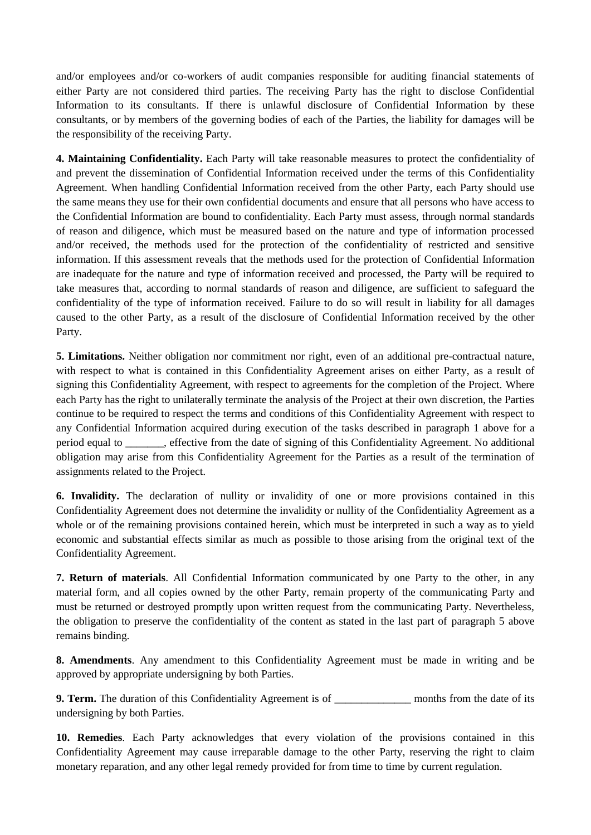and/or employees and/or co-workers of audit companies responsible for auditing financial statements of either Party are not considered third parties. The receiving Party has the right to disclose Confidential Information to its consultants. If there is unlawful disclosure of Confidential Information by these consultants, or by members of the governing bodies of each of the Parties, the liability for damages will be the responsibility of the receiving Party.

**4. Maintaining Confidentiality.** Each Party will take reasonable measures to protect the confidentiality of and prevent the dissemination of Confidential Information received under the terms of this Confidentiality Agreement. When handling Confidential Information received from the other Party, each Party should use the same means they use for their own confidential documents and ensure that all persons who have access to the Confidential Information are bound to confidentiality. Each Party must assess, through normal standards of reason and diligence, which must be measured based on the nature and type of information processed and/or received, the methods used for the protection of the confidentiality of restricted and sensitive information. If this assessment reveals that the methods used for the protection of Confidential Information are inadequate for the nature and type of information received and processed, the Party will be required to take measures that, according to normal standards of reason and diligence, are sufficient to safeguard the confidentiality of the type of information received. Failure to do so will result in liability for all damages caused to the other Party, as a result of the disclosure of Confidential Information received by the other Party.

**5. Limitations.** Neither obligation nor commitment nor right, even of an additional pre-contractual nature, with respect to what is contained in this Confidentiality Agreement arises on either Party, as a result of signing this Confidentiality Agreement, with respect to agreements for the completion of the Project. Where each Party has the right to unilaterally terminate the analysis of the Project at their own discretion, the Parties continue to be required to respect the terms and conditions of this Confidentiality Agreement with respect to any Confidential Information acquired during execution of the tasks described in paragraph 1 above for a period equal to \_\_\_\_\_\_\_, effective from the date of signing of this Confidentiality Agreement. No additional obligation may arise from this Confidentiality Agreement for the Parties as a result of the termination of assignments related to the Project.

**6. Invalidity.** The declaration of nullity or invalidity of one or more provisions contained in this Confidentiality Agreement does not determine the invalidity or nullity of the Confidentiality Agreement as a whole or of the remaining provisions contained herein, which must be interpreted in such a way as to yield economic and substantial effects similar as much as possible to those arising from the original text of the Confidentiality Agreement.

**7. Return of materials**. All Confidential Information communicated by one Party to the other, in any material form, and all copies owned by the other Party, remain property of the communicating Party and must be returned or destroyed promptly upon written request from the communicating Party. Nevertheless, the obligation to preserve the confidentiality of the content as stated in the last part of paragraph 5 above remains binding.

**8. Amendments**. Any amendment to this Confidentiality Agreement must be made in writing and be approved by appropriate undersigning by both Parties.

**9. Term.** The duration of this Confidentiality Agreement is of \_\_\_\_\_\_\_\_\_\_\_\_\_\_\_\_\_ months from the date of its undersigning by both Parties.

**10. Remedies**. Each Party acknowledges that every violation of the provisions contained in this Confidentiality Agreement may cause irreparable damage to the other Party, reserving the right to claim monetary reparation, and any other legal remedy provided for from time to time by current regulation.